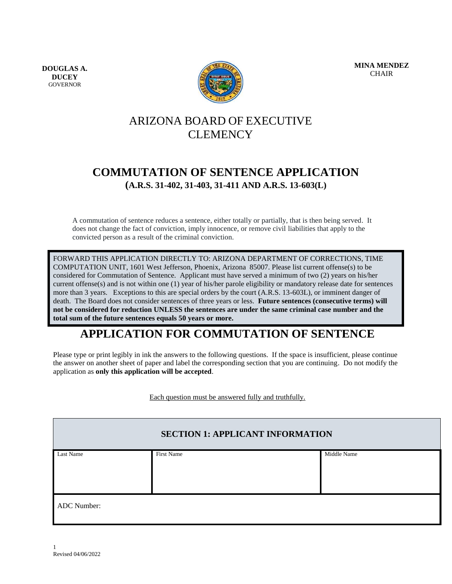**DOUGLAS A. DUCEY GOVERNOR** 



**MINA MENDEZ** CHAIR

# ARIZONA BOARD OF EXECUTIVE CLEMENCY

# **COMMUTATION OF SENTENCE APPLICATION (A.R.S. 31-402, 31-403, 31-411 AND A.R.S. 13-603(L)**

A commutation of sentence reduces a sentence, either totally or partially, that is then being served. It does not change the fact of conviction, imply innocence, or remove civil liabilities that apply to the convicted person as a result of the criminal conviction.

FORWARD THIS APPLICATION DIRECTLY TO: ARIZONA DEPARTMENT OF CORRECTIONS, TIME COMPUTATION UNIT, 1601 West Jefferson, Phoenix, Arizona 85007. Please list current offense(s) to be considered for Commutation of Sentence. Applicant must have served a minimum of two (2) years on his/her current offense(s) and is not within one (1) year of his/her parole eligibility or mandatory release date for sentences more than 3 years. Exceptions to this are special orders by the court (A.R.S. 13-603L), or imminent danger of death. The Board does not consider sentences of three years or less. **Future sentences (consecutive terms) will not be considered for reduction UNLESS the sentences are under the same criminal case number and the total sum of the future sentences equals 50 years or more.**

# **APPLICATION FOR COMMUTATION OF SENTENCE**

Please type or print legibly in ink the answers to the following questions. If the space is insufficient, please continue the answer on another sheet of paper and label the corresponding section that you are continuing. Do not modify the application as **only this application will be accepted**.

Each question must be answered fully and truthfully.

|             | <b>SECTION 1: APPLICANT INFORMATION</b> |             |
|-------------|-----------------------------------------|-------------|
| Last Name   | First Name                              | Middle Name |
|             |                                         |             |
|             |                                         |             |
|             |                                         |             |
| ADC Number: |                                         |             |
|             |                                         |             |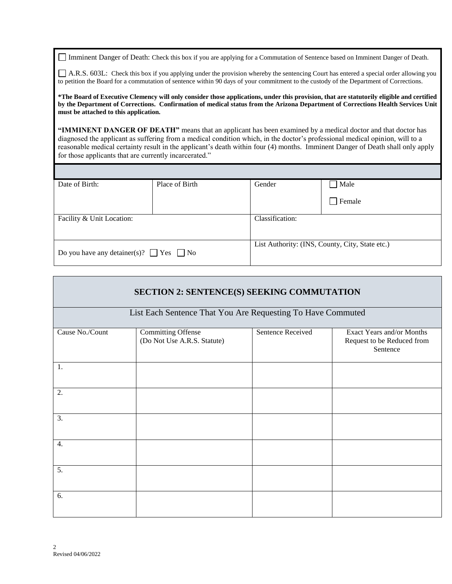Imminent Danger of Death: Check this box if you are applying for a Commutation of Sentence based on Imminent Danger of Death.

A.R.S. 603L: Check this box if you applying under the provision whereby the sentencing Court has entered a special order allowing you to petition the Board for a commutation of sentence within 90 days of your commitment to the custody of the Department of Corrections.

**\*The Board of Executive Clemency will only consider those applications, under this provision, that are statutorily eligible and certified by the Department of Corrections. Confirmation of medical status from the Arizona Department of Corrections Health Services Unit must be attached to this application.**

**"IMMINENT DANGER OF DEATH"** means that an applicant has been examined by a medical doctor and that doctor has diagnosed the applicant as suffering from a medical condition which, in the doctor's professional medical opinion, will to a reasonable medical certainty result in the applicant's death within four (4) months. Imminent Danger of Death shall only apply for those applicants that are currently incarcerated."

| Date of Birth:                                    | Place of Birth | Gender                                          | $\Box$ Male |
|---------------------------------------------------|----------------|-------------------------------------------------|-------------|
|                                                   |                |                                                 | l Female    |
| Facility & Unit Location:                         |                | Classification:                                 |             |
|                                                   |                |                                                 |             |
| Do you have any detainer(s)? $\Box$ Yes $\Box$ No |                | List Authority: (INS, County, City, State etc.) |             |

|                  | <b>SECTION 2: SENTENCE(S) SEEKING COMMUTATION</b>           |                   |                                                                     |
|------------------|-------------------------------------------------------------|-------------------|---------------------------------------------------------------------|
|                  | List Each Sentence That You Are Requesting To Have Commuted |                   |                                                                     |
| Cause No./Count  | Committing Offense<br>(Do Not Use A.R.S. Statute)           | Sentence Received | Exact Years and/or Months<br>Request to be Reduced from<br>Sentence |
| 1.               |                                                             |                   |                                                                     |
| 2.               |                                                             |                   |                                                                     |
| 3.               |                                                             |                   |                                                                     |
| $\overline{4}$ . |                                                             |                   |                                                                     |
| 5.               |                                                             |                   |                                                                     |
| 6.               |                                                             |                   |                                                                     |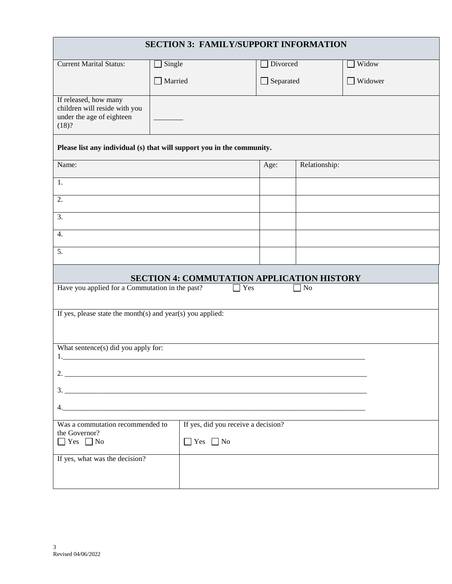|                                                                                              | <b>SECTION 3: FAMILY/SUPPORT INFORMATION</b>                           |                  |               |         |
|----------------------------------------------------------------------------------------------|------------------------------------------------------------------------|------------------|---------------|---------|
| <b>Current Marital Status:</b>                                                               | Single                                                                 | Divorced         |               | Widow   |
|                                                                                              | Married<br>$\blacksquare$                                              | $\Box$ Separated |               | Widower |
| If released, how many<br>children will reside with you<br>under the age of eighteen<br>(18)? |                                                                        |                  |               |         |
|                                                                                              | Please list any individual (s) that will support you in the community. |                  |               |         |
| Name:                                                                                        |                                                                        | Age:             | Relationship: |         |
| 1.                                                                                           |                                                                        |                  |               |         |
| 2.                                                                                           |                                                                        |                  |               |         |
| 3.                                                                                           |                                                                        |                  |               |         |
| $\overline{4}$ .                                                                             |                                                                        |                  |               |         |
| 5.                                                                                           |                                                                        |                  |               |         |
|                                                                                              | <b>SECTION 4: COMMUTATION APPLICATION HISTORY</b>                      |                  |               |         |
| Have you applied for a Commutation in the past?                                              | Yes                                                                    |                  | No            |         |
| If yes, please state the month(s) and year(s) you applied:                                   |                                                                        |                  |               |         |
|                                                                                              |                                                                        |                  |               |         |
| What sentence(s) did you apply for:                                                          |                                                                        |                  |               |         |
|                                                                                              |                                                                        |                  |               |         |
|                                                                                              |                                                                        |                  |               |         |
|                                                                                              |                                                                        |                  |               |         |
|                                                                                              |                                                                        |                  |               |         |
| Was a commutation recommended to<br>the Governor?                                            | If yes, did you receive a decision?                                    |                  |               |         |
| $\Box$ Yes $\Box$ No                                                                         | $\Box$ Yes $\Box$ No                                                   |                  |               |         |
| If yes, what was the decision?                                                               |                                                                        |                  |               |         |
|                                                                                              |                                                                        |                  |               |         |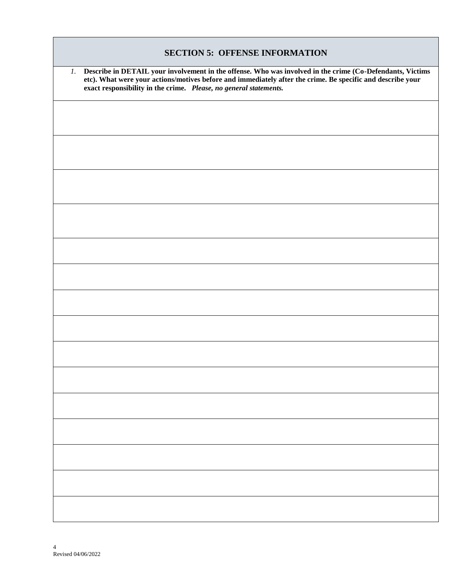| <b>SECTION 5: OFFENSE INFORMATION</b>                                                                                                                                                                                                                                                           |
|-------------------------------------------------------------------------------------------------------------------------------------------------------------------------------------------------------------------------------------------------------------------------------------------------|
| 1. Describe in DETAIL your involvement in the offense. Who was involved in the crime (Co-Defendants, Victims<br>etc). What were your actions/motives before and immediately after the crime. Be specific and describe your<br>exact responsibility in the crime. Please, no general statements. |
|                                                                                                                                                                                                                                                                                                 |
|                                                                                                                                                                                                                                                                                                 |
|                                                                                                                                                                                                                                                                                                 |
|                                                                                                                                                                                                                                                                                                 |
|                                                                                                                                                                                                                                                                                                 |
|                                                                                                                                                                                                                                                                                                 |
|                                                                                                                                                                                                                                                                                                 |
|                                                                                                                                                                                                                                                                                                 |
|                                                                                                                                                                                                                                                                                                 |
|                                                                                                                                                                                                                                                                                                 |
|                                                                                                                                                                                                                                                                                                 |
|                                                                                                                                                                                                                                                                                                 |
|                                                                                                                                                                                                                                                                                                 |
|                                                                                                                                                                                                                                                                                                 |
|                                                                                                                                                                                                                                                                                                 |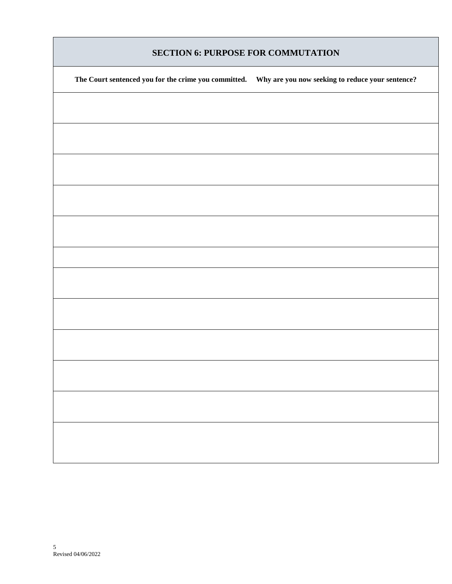|  | <b>SECTION 6: PURPOSE FOR COMMUTATION</b> |
|--|-------------------------------------------|
|  |                                           |

| The Court sentenced you for the crime you committed.<br>Why are you now seeking to reduce your sentence? |
|----------------------------------------------------------------------------------------------------------|
|                                                                                                          |
|                                                                                                          |
|                                                                                                          |
|                                                                                                          |
|                                                                                                          |
|                                                                                                          |
|                                                                                                          |
|                                                                                                          |
|                                                                                                          |
|                                                                                                          |
|                                                                                                          |
|                                                                                                          |
|                                                                                                          |
|                                                                                                          |
|                                                                                                          |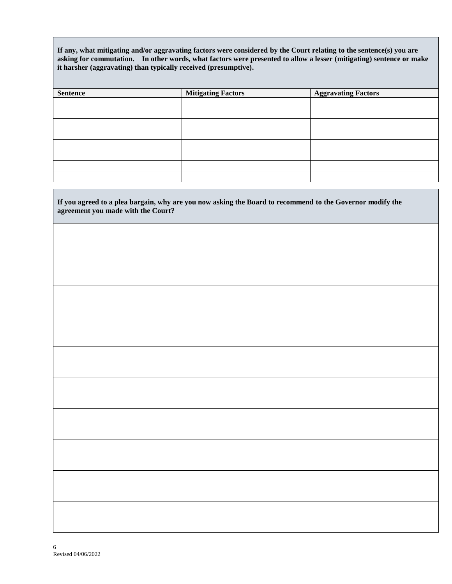**If any, what mitigating and/or aggravating factors were considered by the Court relating to the sentence(s) you are asking for commutation. In other words, what factors were presented to allow a lesser (mitigating) sentence or make it harsher (aggravating) than typically received (presumptive).**

| <b>Sentence</b> | <b>Mitigating Factors</b> | <b>Aggravating Factors</b> |
|-----------------|---------------------------|----------------------------|
|                 |                           |                            |
|                 |                           |                            |
|                 |                           |                            |
|                 |                           |                            |
|                 |                           |                            |
|                 |                           |                            |
|                 |                           |                            |
|                 |                           |                            |

| If you agreed to a plea bargain, why are you now asking the Board to recommend to the Governor modify the agreement you made with the Court? |
|----------------------------------------------------------------------------------------------------------------------------------------------|
|                                                                                                                                              |
|                                                                                                                                              |
|                                                                                                                                              |
|                                                                                                                                              |
|                                                                                                                                              |
|                                                                                                                                              |
|                                                                                                                                              |
|                                                                                                                                              |
|                                                                                                                                              |
|                                                                                                                                              |
|                                                                                                                                              |
|                                                                                                                                              |

Н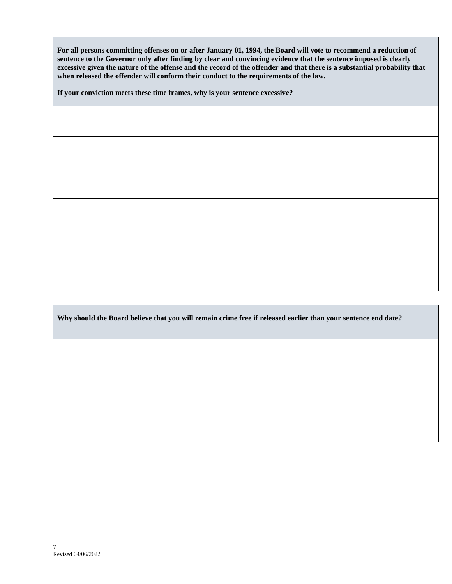**For all persons committing offenses on or after January 01, 1994, the Board will vote to recommend a reduction of sentence to the Governor only after finding by clear and convincing evidence that the sentence imposed is clearly excessive given the nature of the offense and the record of the offender and that there is a substantial probability that when released the offender will conform their conduct to the requirements of the law.** 

**If your conviction meets these time frames, why is your sentence excessive?**

**Why should the Board believe that you will remain crime free if released earlier than your sentence end date?**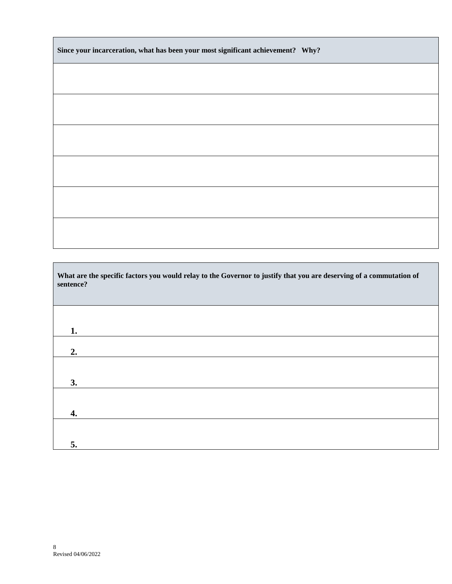| Since your incarceration, what has been your most significant achievement? Why? |  |
|---------------------------------------------------------------------------------|--|
|---------------------------------------------------------------------------------|--|

| What are the specific factors you would relay to the Governor to justify that you are deserving of a commutation of<br>sentence? |
|----------------------------------------------------------------------------------------------------------------------------------|
|                                                                                                                                  |
|                                                                                                                                  |
| 1.                                                                                                                               |
| 2.                                                                                                                               |
|                                                                                                                                  |
| 3.                                                                                                                               |
|                                                                                                                                  |
| 4.                                                                                                                               |
|                                                                                                                                  |
| 5.                                                                                                                               |

Г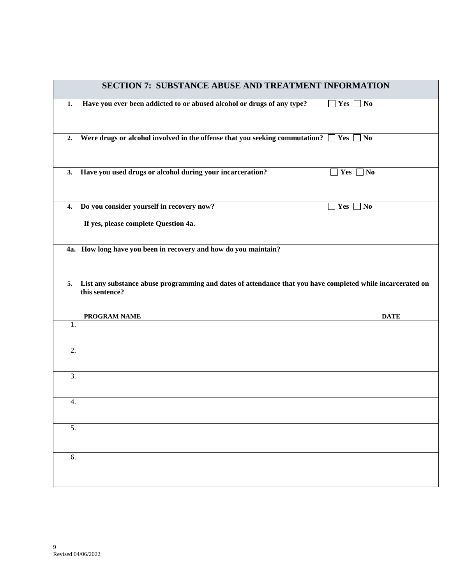|    | <b>SECTION 7: SUBSTANCE ABUSE AND TREATMENT INFORMATION</b>                                                |
|----|------------------------------------------------------------------------------------------------------------|
| 1. | Have you ever been addicted to or abused alcohol or drugs of any type?<br>$\Box$ Yes $\Box$ No             |
| 2. | Were drugs or alcohol involved in the offense that you seeking commutation? $\Box$ Yes $\Box$ No           |
|    | 3. Have you used drugs or alcohol during your incarceration?<br>Yes $\Box$ No                              |
|    | 4. Do you consider yourself in recovery now?<br>Yes  <br>  No                                              |
|    | If yes, please complete Question 4a.                                                                       |
|    | 4a. How long have you been in recovery and how do you maintain?                                            |
| 5. | List any substance abuse programming and dates of attendance that you have completed while incarcerated on |
|    | this sentence?                                                                                             |
|    | <b>DATE</b><br>PROGRAM NAME                                                                                |
| 1. |                                                                                                            |
| 2. |                                                                                                            |
| 3. |                                                                                                            |
| 4. |                                                                                                            |
| 5. |                                                                                                            |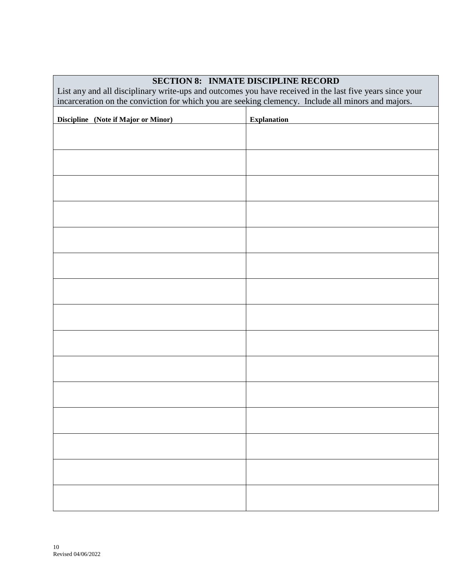# List any and all disciplinary write-ups and outcomes you have received in the last five years since your incarceration on the conviction for which you are seeking clemency. Include all minors and majors. **Discipline** (Note if Major or Minor) **Explanation**

## **SECTION 8: INMATE DISCIPLINE RECORD**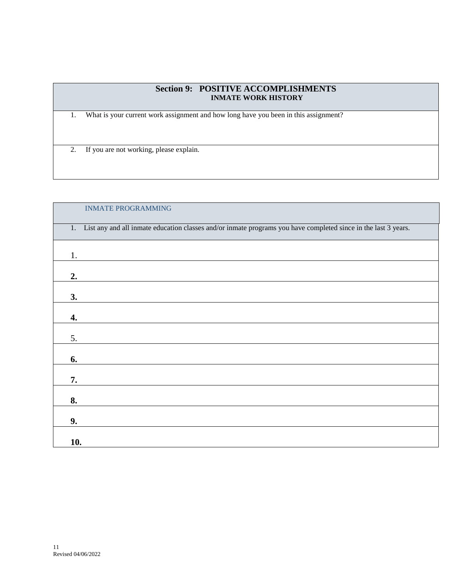### **Section 9: POSITIVE ACCOMPLISHMENTS**  *INMATE WORK HISTORY*

1. What is your current work assignment and how long have you been in this assignment?

2. If you are not working, please explain.

| <b>INMATE PROGRAMMING</b>                                                                                         |
|-------------------------------------------------------------------------------------------------------------------|
| 1. List any and all inmate education classes and/or inmate programs you have completed since in the last 3 years. |
| 1.                                                                                                                |
| 2.                                                                                                                |
| 3.                                                                                                                |
| 4.                                                                                                                |
| 5.                                                                                                                |
| 6.                                                                                                                |
| 7.                                                                                                                |
| 8.                                                                                                                |
| 9.                                                                                                                |
| 10.                                                                                                               |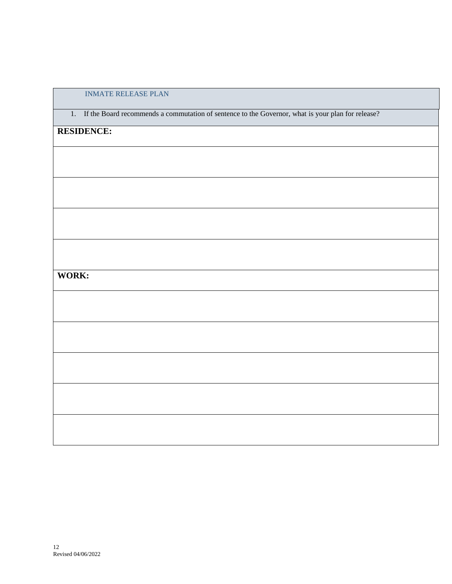### INMATE RELEASE PLAN

1. If the Board recommends a commutation of sentence to the Governor, what is your plan for release?

# **RESIDENCE:**

**WORK:**